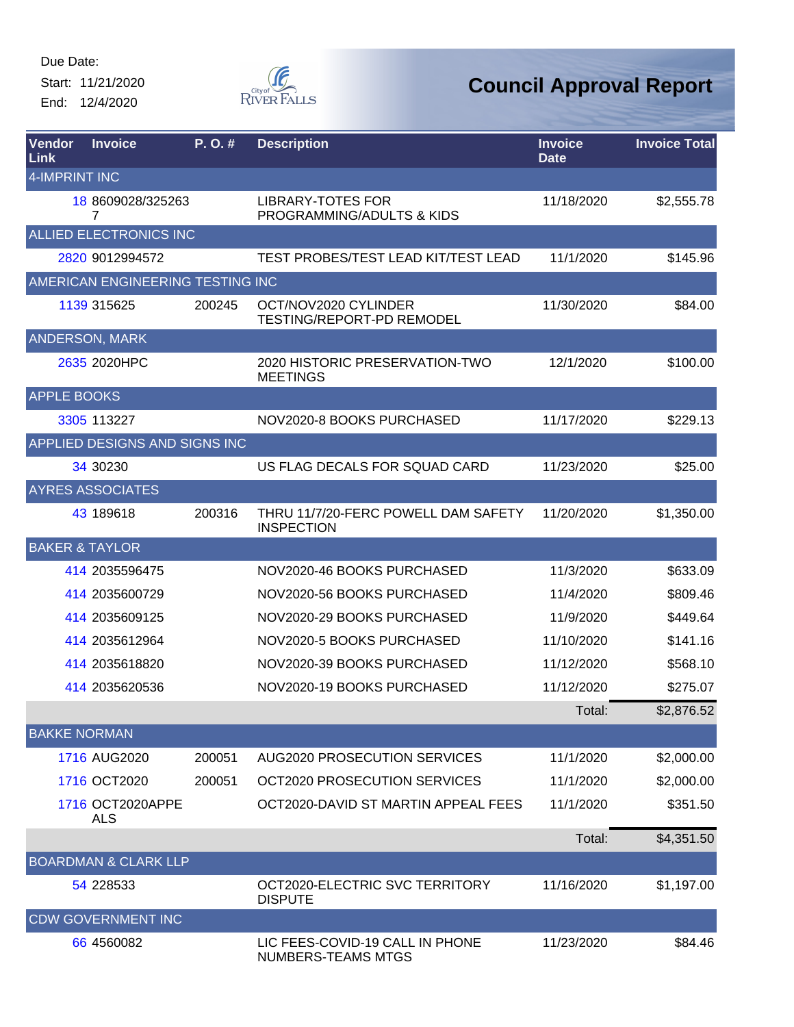Start: 11/21/2020 End: 12/4/2020



| Vendor<br>Link            | <b>Invoice</b>                   | P. O. # | <b>Description</b>                                       | <b>Invoice</b><br><b>Date</b> | <b>Invoice Total</b> |
|---------------------------|----------------------------------|---------|----------------------------------------------------------|-------------------------------|----------------------|
| <b>4-IMPRINT INC</b>      |                                  |         |                                                          |                               |                      |
|                           | 18 8609028/325263<br>7           |         | <b>LIBRARY-TOTES FOR</b><br>PROGRAMMING/ADULTS & KIDS    | 11/18/2020                    | \$2,555.78           |
|                           | ALLIED ELECTRONICS INC           |         |                                                          |                               |                      |
|                           | 2820 9012994572                  |         | TEST PROBES/TEST LEAD KIT/TEST LEAD                      | 11/1/2020                     | \$145.96             |
|                           | AMERICAN ENGINEERING TESTING INC |         |                                                          |                               |                      |
|                           | 1139 315625                      | 200245  | OCT/NOV2020 CYLINDER<br><b>TESTING/REPORT-PD REMODEL</b> | 11/30/2020                    | \$84.00              |
|                           | <b>ANDERSON, MARK</b>            |         |                                                          |                               |                      |
|                           | 2635 2020HPC                     |         | 2020 HISTORIC PRESERVATION-TWO<br><b>MEETINGS</b>        | 12/1/2020                     | \$100.00             |
| <b>APPLE BOOKS</b>        |                                  |         |                                                          |                               |                      |
|                           | 3305 113227                      |         | NOV2020-8 BOOKS PURCHASED                                | 11/17/2020                    | \$229.13             |
|                           | APPLIED DESIGNS AND SIGNS INC    |         |                                                          |                               |                      |
|                           | 34 30230                         |         | US FLAG DECALS FOR SQUAD CARD                            | 11/23/2020                    | \$25.00              |
|                           | <b>AYRES ASSOCIATES</b>          |         |                                                          |                               |                      |
|                           | 43 189618                        | 200316  | THRU 11/7/20-FERC POWELL DAM SAFETY<br><b>INSPECTION</b> | 11/20/2020                    | \$1,350.00           |
| <b>BAKER &amp; TAYLOR</b> |                                  |         |                                                          |                               |                      |
|                           | 414 2035596475                   |         | NOV2020-46 BOOKS PURCHASED                               | 11/3/2020                     | \$633.09             |
|                           | 414 2035600729                   |         | NOV2020-56 BOOKS PURCHASED                               | 11/4/2020                     | \$809.46             |
|                           | 414 2035609125                   |         | NOV2020-29 BOOKS PURCHASED                               | 11/9/2020                     | \$449.64             |
|                           | 414 2035612964                   |         | NOV2020-5 BOOKS PURCHASED                                | 11/10/2020                    | \$141.16             |
|                           | 414 2035618820                   |         | NOV2020-39 BOOKS PURCHASED                               | 11/12/2020                    | \$568.10             |
|                           | 414 2035620536                   |         | NOV2020-19 BOOKS PURCHASED                               | 11/12/2020                    | \$275.07             |
|                           |                                  |         |                                                          | Total:                        | \$2,876.52           |
| <b>BAKKE NORMAN</b>       |                                  |         |                                                          |                               |                      |
|                           | 1716 AUG2020                     | 200051  | AUG2020 PROSECUTION SERVICES                             | 11/1/2020                     | \$2,000.00           |
|                           | 1716 OCT2020                     | 200051  | OCT2020 PROSECUTION SERVICES                             | 11/1/2020                     | \$2,000.00           |
|                           | 1716 OCT2020APPE<br>ALS          |         | OCT2020-DAVID ST MARTIN APPEAL FEES                      | 11/1/2020                     | \$351.50             |
|                           |                                  |         |                                                          | Total:                        | \$4,351.50           |
|                           | <b>BOARDMAN &amp; CLARK LLP</b>  |         |                                                          |                               |                      |
|                           | 54 228533                        |         | OCT2020-ELECTRIC SVC TERRITORY<br><b>DISPUTE</b>         | 11/16/2020                    | \$1,197.00           |
|                           | <b>CDW GOVERNMENT INC</b>        |         |                                                          |                               |                      |
|                           | 66 45 60082                      |         | LIC FEES-COVID-19 CALL IN PHONE<br>NUMBERS-TEAMS MTGS    | 11/23/2020                    | \$84.46              |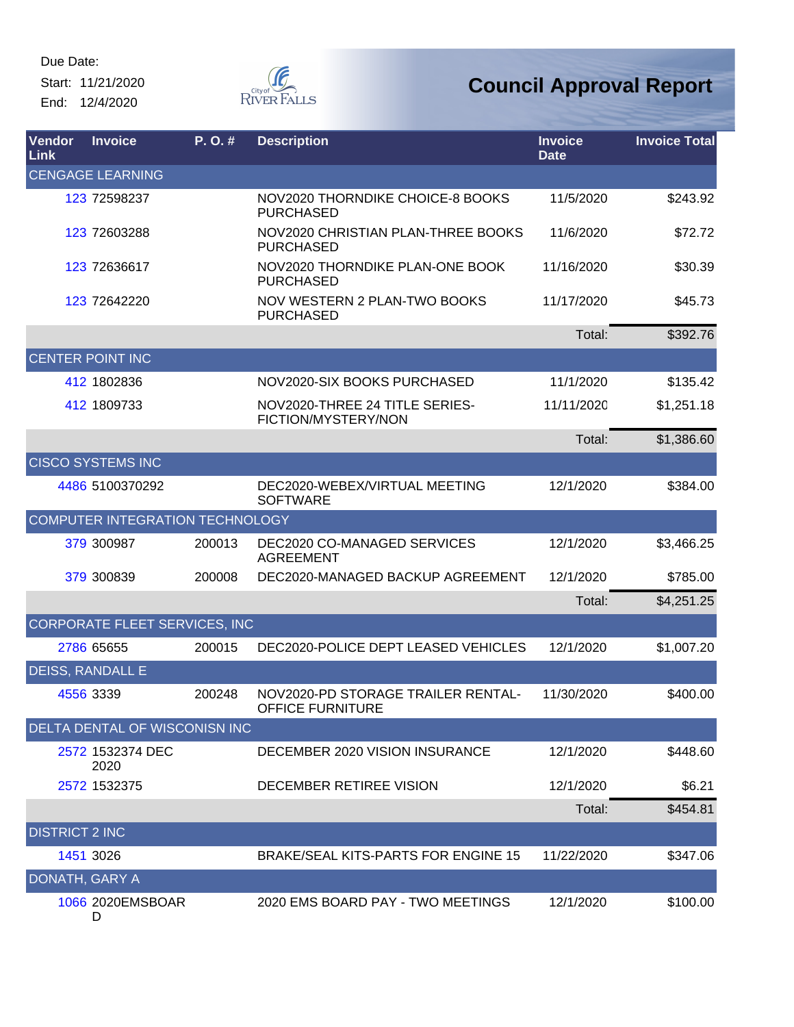Start: 11/21/2020 End: 12/4/2020



| Vendor<br>Link        | <b>Invoice</b>                  | P.O.#  | <b>Description</b>                                     | <b>Invoice</b><br><b>Date</b> | <b>Invoice Total</b> |
|-----------------------|---------------------------------|--------|--------------------------------------------------------|-------------------------------|----------------------|
|                       | <b>CENGAGE LEARNING</b>         |        |                                                        |                               |                      |
|                       | 123 72598237                    |        | NOV2020 THORNDIKE CHOICE-8 BOOKS<br><b>PURCHASED</b>   | 11/5/2020                     | \$243.92             |
|                       | 123 72603288                    |        | NOV2020 CHRISTIAN PLAN-THREE BOOKS<br><b>PURCHASED</b> | 11/6/2020                     | \$72.72              |
|                       | 123 72636617                    |        | NOV2020 THORNDIKE PLAN-ONE BOOK<br><b>PURCHASED</b>    | 11/16/2020                    | \$30.39              |
|                       | 123 72642220                    |        | NOV WESTERN 2 PLAN-TWO BOOKS<br><b>PURCHASED</b>       | 11/17/2020                    | \$45.73              |
|                       |                                 |        |                                                        | Total:                        | \$392.76             |
|                       | <b>CENTER POINT INC</b>         |        |                                                        |                               |                      |
|                       | 412 1802836                     |        | NOV2020-SIX BOOKS PURCHASED                            | 11/1/2020                     | \$135.42             |
|                       | 412 1809733                     |        | NOV2020-THREE 24 TITLE SERIES-<br>FICTION/MYSTERY/NON  | 11/11/2020                    | \$1,251.18           |
|                       |                                 |        |                                                        | Total:                        | \$1,386.60           |
|                       | <b>CISCO SYSTEMS INC</b>        |        |                                                        |                               |                      |
|                       | 4486 5100370292                 |        | DEC2020-WEBEX/VIRTUAL MEETING<br><b>SOFTWARE</b>       | 12/1/2020                     | \$384.00             |
|                       | COMPUTER INTEGRATION TECHNOLOGY |        |                                                        |                               |                      |
|                       | 379 300987                      | 200013 | DEC2020 CO-MANAGED SERVICES<br><b>AGREEMENT</b>        | 12/1/2020                     | \$3,466.25           |
|                       | 379 300839                      | 200008 | DEC2020-MANAGED BACKUP AGREEMENT                       | 12/1/2020                     | \$785.00             |
|                       |                                 |        |                                                        | Total:                        | \$4,251.25           |
|                       | CORPORATE FLEET SERVICES, INC   |        |                                                        |                               |                      |
|                       | 2786 65655                      | 200015 | DEC2020-POLICE DEPT LEASED VEHICLES                    | 12/1/2020                     | \$1,007.20           |
|                       | <b>DEISS, RANDALL E</b>         |        |                                                        |                               |                      |
|                       | 4556 3339                       | 200248 | NOV2020-PD STORAGE TRAILER RENTAL-<br>OFFICE FURNITURE | 11/30/2020                    | \$400.00             |
|                       | DELTA DENTAL OF WISCONISN INC   |        |                                                        |                               |                      |
|                       | 2572 1532374 DEC<br>2020        |        | DECEMBER 2020 VISION INSURANCE                         | 12/1/2020                     | \$448.60             |
|                       | 2572 1532375                    |        | DECEMBER RETIREE VISION                                | 12/1/2020                     | \$6.21               |
|                       |                                 |        |                                                        | Total:                        | \$454.81             |
| <b>DISTRICT 2 INC</b> |                                 |        |                                                        |                               |                      |
|                       | 1451 3026                       |        | BRAKE/SEAL KITS-PARTS FOR ENGINE 15                    | 11/22/2020                    | \$347.06             |
| DONATH, GARY A        |                                 |        |                                                        |                               |                      |
|                       | 1066 2020EMSBOAR<br>D           |        | 2020 EMS BOARD PAY - TWO MEETINGS                      | 12/1/2020                     | \$100.00             |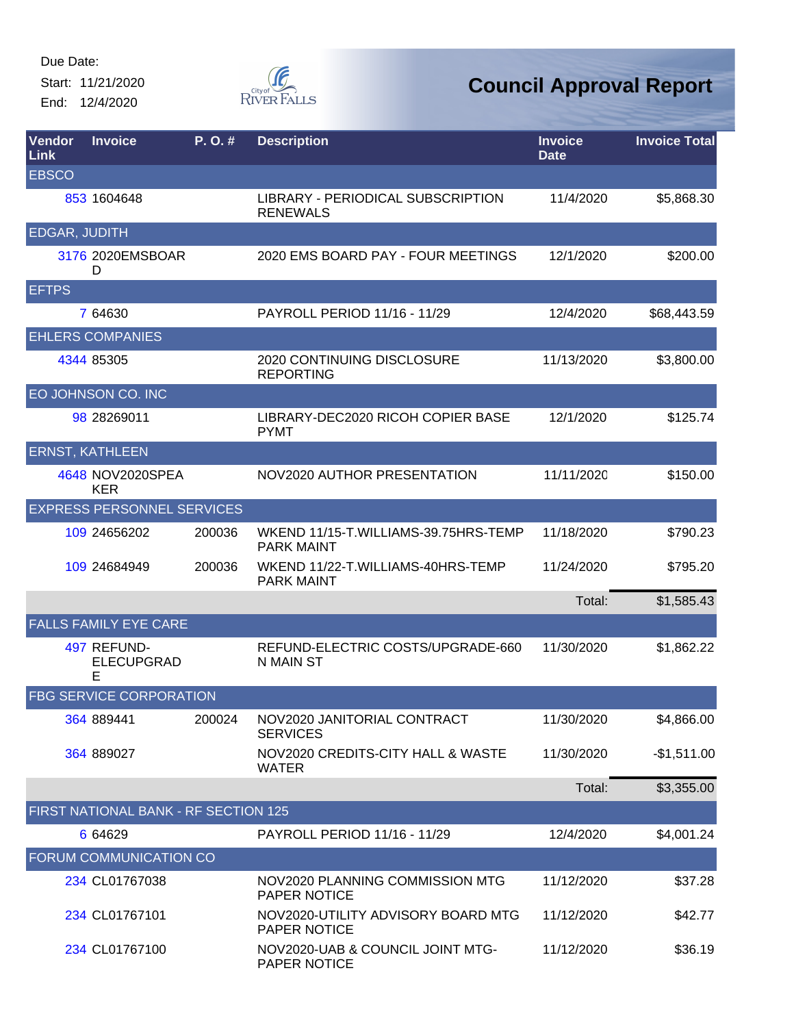Start: 11/21/2020 End: 12/4/2020



| Vendor<br>Link | <b>Invoice</b>                        | P. O. # | <b>Description</b>                                        | <b>Invoice</b><br><b>Date</b> | <b>Invoice Total</b> |
|----------------|---------------------------------------|---------|-----------------------------------------------------------|-------------------------------|----------------------|
| <b>EBSCO</b>   |                                       |         |                                                           |                               |                      |
|                | 853 1604648                           |         | LIBRARY - PERIODICAL SUBSCRIPTION<br><b>RENEWALS</b>      | 11/4/2020                     | \$5,868.30           |
| EDGAR, JUDITH  |                                       |         |                                                           |                               |                      |
|                | 3176 2020 EMSBOAR<br>D                |         | 2020 EMS BOARD PAY - FOUR MEETINGS                        | 12/1/2020                     | \$200.00             |
| <b>EFTPS</b>   |                                       |         |                                                           |                               |                      |
|                | 7 64630                               |         | PAYROLL PERIOD 11/16 - 11/29                              | 12/4/2020                     | \$68,443.59          |
|                | <b>EHLERS COMPANIES</b>               |         |                                                           |                               |                      |
|                | 4344 85305                            |         | 2020 CONTINUING DISCLOSURE<br><b>REPORTING</b>            | 11/13/2020                    | \$3,800.00           |
|                | EO JOHNSON CO. INC                    |         |                                                           |                               |                      |
|                | 98 28269011                           |         | LIBRARY-DEC2020 RICOH COPIER BASE<br><b>PYMT</b>          | 12/1/2020                     | \$125.74             |
|                | <b>ERNST, KATHLEEN</b>                |         |                                                           |                               |                      |
|                | 4648 NOV2020SPEA<br><b>KER</b>        |         | NOV2020 AUTHOR PRESENTATION                               | 11/11/2020                    | \$150.00             |
|                | <b>EXPRESS PERSONNEL SERVICES</b>     |         |                                                           |                               |                      |
|                | 109 24656202                          | 200036  | WKEND 11/15-T.WILLIAMS-39.75HRS-TEMP<br><b>PARK MAINT</b> | 11/18/2020                    | \$790.23             |
|                | 109 24684949                          | 200036  | WKEND 11/22-T.WILLIAMS-40HRS-TEMP<br><b>PARK MAINT</b>    | 11/24/2020                    | \$795.20             |
|                |                                       |         |                                                           | Total:                        | \$1,585.43           |
|                | <b>FALLS FAMILY EYE CARE</b>          |         |                                                           |                               |                      |
|                | 497 REFUND-<br><b>ELECUPGRAD</b><br>E |         | REFUND-ELECTRIC COSTS/UPGRADE-660<br>N MAIN ST            | 11/30/2020                    | \$1,862.22           |
|                | <b>FBG SERVICE CORPORATION</b>        |         |                                                           |                               |                      |
|                | 364 889441                            | 200024  | NOV2020 JANITORIAL CONTRACT<br><b>SERVICES</b>            | 11/30/2020                    | \$4,866.00           |
|                | 364 889027                            |         | NOV2020 CREDITS-CITY HALL & WASTE<br><b>WATER</b>         | 11/30/2020                    | $-$1,511.00$         |
|                |                                       |         |                                                           | Total:                        | \$3,355.00           |
|                | FIRST NATIONAL BANK - RF SECTION 125  |         |                                                           |                               |                      |
|                | 6 64629                               |         | PAYROLL PERIOD 11/16 - 11/29                              | 12/4/2020                     | \$4,001.24           |
|                | FORUM COMMUNICATION CO                |         |                                                           |                               |                      |
|                | 234 CL01767038                        |         | NOV2020 PLANNING COMMISSION MTG<br>PAPER NOTICE           | 11/12/2020                    | \$37.28              |
|                | 234 CL01767101                        |         | NOV2020-UTILITY ADVISORY BOARD MTG<br>PAPER NOTICE        | 11/12/2020                    | \$42.77              |
|                | 234 CL01767100                        |         | NOV2020-UAB & COUNCIL JOINT MTG-<br>PAPER NOTICE          | 11/12/2020                    | \$36.19              |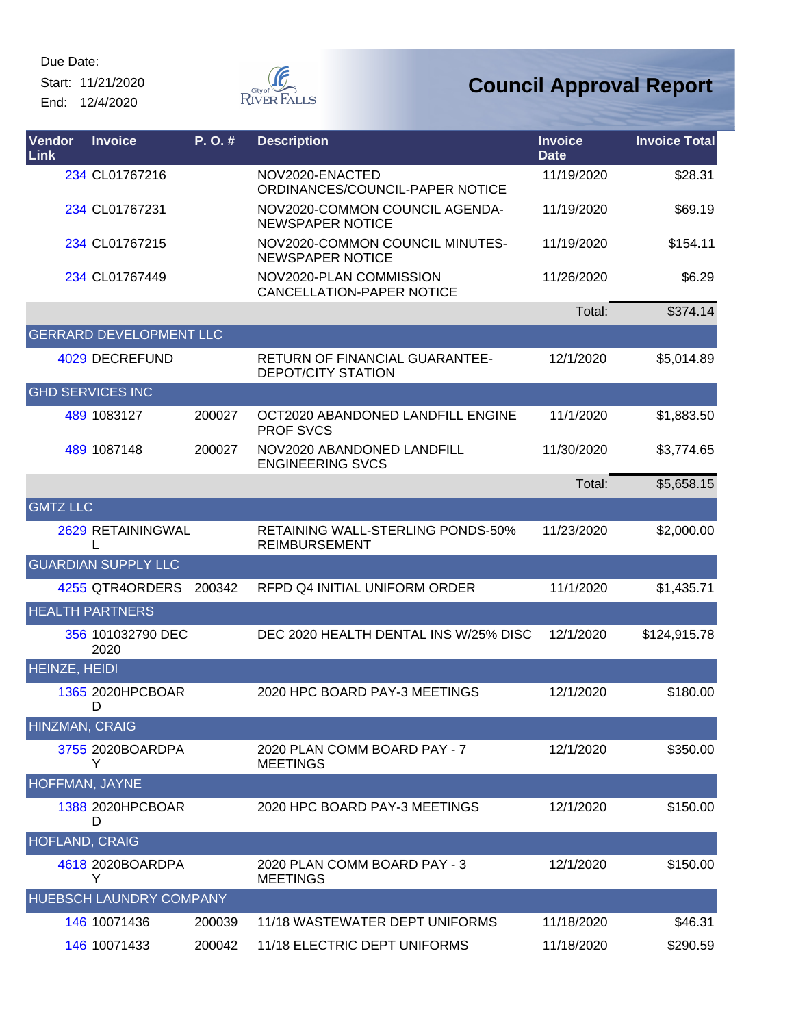Start: 11/21/2020 End: 12/4/2020



| Vendor<br>Link        | <b>Invoice</b>                 | P. O. # | <b>Description</b>                                                 | <b>Invoice</b><br><b>Date</b> | <b>Invoice Total</b> |
|-----------------------|--------------------------------|---------|--------------------------------------------------------------------|-------------------------------|----------------------|
|                       | 234 CL01767216                 |         | NOV2020-ENACTED<br>ORDINANCES/COUNCIL-PAPER NOTICE                 | 11/19/2020                    | \$28.31              |
|                       | 234 CL01767231                 |         | NOV2020-COMMON COUNCIL AGENDA-<br><b>NEWSPAPER NOTICE</b>          | 11/19/2020                    | \$69.19              |
|                       | 234 CL01767215                 |         | NOV2020-COMMON COUNCIL MINUTES-<br><b>NEWSPAPER NOTICE</b>         | 11/19/2020                    | \$154.11             |
|                       | 234 CL01767449                 |         | NOV2020-PLAN COMMISSION<br><b>CANCELLATION-PAPER NOTICE</b>        | 11/26/2020                    | \$6.29               |
|                       |                                |         |                                                                    | Total:                        | \$374.14             |
|                       | <b>GERRARD DEVELOPMENT LLC</b> |         |                                                                    |                               |                      |
|                       | 4029 DECREFUND                 |         | <b>RETURN OF FINANCIAL GUARANTEE-</b><br><b>DEPOT/CITY STATION</b> | 12/1/2020                     | \$5,014.89           |
|                       | <b>GHD SERVICES INC</b>        |         |                                                                    |                               |                      |
|                       | 489 1083127                    | 200027  | OCT2020 ABANDONED LANDFILL ENGINE<br><b>PROF SVCS</b>              | 11/1/2020                     | \$1,883.50           |
|                       | 489 1087148                    | 200027  | NOV2020 ABANDONED LANDFILL<br><b>ENGINEERING SVCS</b>              | 11/30/2020                    | \$3,774.65           |
|                       |                                |         |                                                                    | Total:                        | \$5,658.15           |
| <b>GMTZ LLC</b>       |                                |         |                                                                    |                               |                      |
|                       | 2629 RETAININGWAL              |         | RETAINING WALL-STERLING PONDS-50%<br><b>REIMBURSEMENT</b>          | 11/23/2020                    | \$2,000.00           |
|                       | <b>GUARDIAN SUPPLY LLC</b>     |         |                                                                    |                               |                      |
|                       | 4255 QTR4ORDERS                | 200342  | RFPD Q4 INITIAL UNIFORM ORDER                                      | 11/1/2020                     | \$1,435.71           |
|                       | <b>HEALTH PARTNERS</b>         |         |                                                                    |                               |                      |
|                       | 356 101032790 DEC<br>2020      |         | DEC 2020 HEALTH DENTAL INS W/25% DISC                              | 12/1/2020                     | \$124,915.78         |
| <b>HEINZE, HEIDI</b>  |                                |         |                                                                    |                               |                      |
|                       | 1365 2020HPCBOAR<br>D.         |         | 2020 HPC BOARD PAY-3 MEETINGS                                      | 12/1/2020                     | \$180.00             |
| <b>HINZMAN, CRAIG</b> |                                |         |                                                                    |                               |                      |
|                       | 3755 2020BOARDPA<br>Y          |         | 2020 PLAN COMM BOARD PAY - 7<br><b>MEETINGS</b>                    | 12/1/2020                     | \$350.00             |
| HOFFMAN, JAYNE        |                                |         |                                                                    |                               |                      |
|                       | 1388 2020HPCBOAR<br>D          |         | 2020 HPC BOARD PAY-3 MEETINGS                                      | 12/1/2020                     | \$150.00             |
| <b>HOFLAND, CRAIG</b> |                                |         |                                                                    |                               |                      |
|                       | 4618 2020BOARDPA<br>Y          |         | 2020 PLAN COMM BOARD PAY - 3<br><b>MEETINGS</b>                    | 12/1/2020                     | \$150.00             |
|                       | <b>HUEBSCH LAUNDRY COMPANY</b> |         |                                                                    |                               |                      |
|                       | 146 10071436                   | 200039  | 11/18 WASTEWATER DEPT UNIFORMS                                     | 11/18/2020                    | \$46.31              |
|                       | 146 10071433                   | 200042  | 11/18 ELECTRIC DEPT UNIFORMS                                       | 11/18/2020                    | \$290.59             |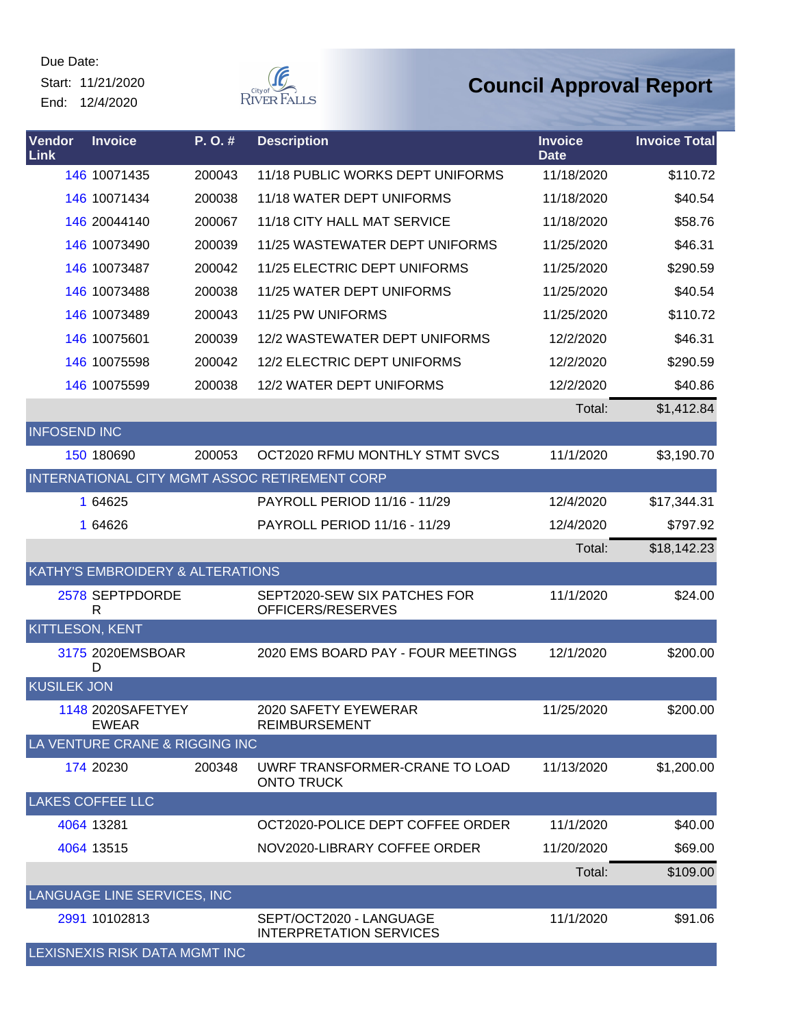Start: 11/21/2020 End: 12/4/2020



| Vendor<br><b>Link</b>  | <b>Invoice</b>                    | P.O.#  | <b>Description</b>                                        | <b>Invoice</b><br><b>Date</b> | <b>Invoice Total</b> |
|------------------------|-----------------------------------|--------|-----------------------------------------------------------|-------------------------------|----------------------|
|                        | 146 10071435                      | 200043 | 11/18 PUBLIC WORKS DEPT UNIFORMS                          | 11/18/2020                    | \$110.72             |
|                        | 146 10071434                      | 200038 | 11/18 WATER DEPT UNIFORMS                                 | 11/18/2020                    | \$40.54              |
|                        | 146 20044140                      | 200067 | 11/18 CITY HALL MAT SERVICE                               | 11/18/2020                    | \$58.76              |
|                        | 146 10073490                      | 200039 | 11/25 WASTEWATER DEPT UNIFORMS                            | 11/25/2020                    | \$46.31              |
|                        | 146 10073487                      | 200042 | 11/25 ELECTRIC DEPT UNIFORMS                              | 11/25/2020                    | \$290.59             |
|                        | 146 10073488                      | 200038 | 11/25 WATER DEPT UNIFORMS                                 | 11/25/2020                    | \$40.54              |
|                        | 146 10073489                      | 200043 | 11/25 PW UNIFORMS                                         | 11/25/2020                    | \$110.72             |
|                        | 146 10075601                      | 200039 | 12/2 WASTEWATER DEPT UNIFORMS                             | 12/2/2020                     | \$46.31              |
|                        | 146 10075598                      | 200042 | 12/2 ELECTRIC DEPT UNIFORMS                               | 12/2/2020                     | \$290.59             |
|                        | 146 10075599                      | 200038 | 12/2 WATER DEPT UNIFORMS                                  | 12/2/2020                     | \$40.86              |
|                        |                                   |        |                                                           | Total:                        | \$1,412.84           |
| <b>INFOSEND INC</b>    |                                   |        |                                                           |                               |                      |
|                        | 150 180690                        | 200053 | OCT2020 RFMU MONTHLY STMT SVCS                            | 11/1/2020                     | \$3,190.70           |
|                        |                                   |        | INTERNATIONAL CITY MGMT ASSOC RETIREMENT CORP             |                               |                      |
|                        | 1 64625                           |        | PAYROLL PERIOD 11/16 - 11/29                              | 12/4/2020                     | \$17,344.31          |
|                        | 1 64626                           |        | PAYROLL PERIOD 11/16 - 11/29                              | 12/4/2020                     | \$797.92             |
|                        |                                   |        |                                                           | Total:                        | \$18,142.23          |
|                        | KATHY'S EMBROIDERY & ALTERATIONS  |        |                                                           |                               |                      |
|                        | 2578 SEPTPDORDE<br>R              |        | SEPT2020-SEW SIX PATCHES FOR<br>OFFICERS/RESERVES         | 11/1/2020                     | \$24.00              |
| <b>KITTLESON, KENT</b> |                                   |        |                                                           |                               |                      |
|                        | 3175 2020EMSBOAR<br>D             |        | 2020 EMS BOARD PAY - FOUR MEETINGS                        | 12/1/2020                     | \$200.00             |
| <b>KUSILEK JON</b>     |                                   |        |                                                           |                               |                      |
|                        | 1148 2020SAFETYEY<br><b>EWEAR</b> |        | 2020 SAFETY EYEWERAR<br><b>REIMBURSEMENT</b>              | 11/25/2020                    | \$200.00             |
|                        | LA VENTURE CRANE & RIGGING INC    |        |                                                           |                               |                      |
|                        | 174 20230                         | 200348 | UWRF TRANSFORMER-CRANE TO LOAD<br><b>ONTO TRUCK</b>       | 11/13/2020                    | \$1,200.00           |
|                        | <b>LAKES COFFEE LLC</b>           |        |                                                           |                               |                      |
|                        | 4064 13281                        |        | OCT2020-POLICE DEPT COFFEE ORDER                          | 11/1/2020                     | \$40.00              |
|                        | 4064 13515                        |        | NOV2020-LIBRARY COFFEE ORDER                              | 11/20/2020                    | \$69.00              |
|                        |                                   |        |                                                           | Total:                        | \$109.00             |
|                        | LANGUAGE LINE SERVICES, INC       |        |                                                           |                               |                      |
|                        | 2991 10102813                     |        | SEPT/OCT2020 - LANGUAGE<br><b>INTERPRETATION SERVICES</b> | 11/1/2020                     | \$91.06              |
|                        | LEXISNEXIS RISK DATA MGMT INC     |        |                                                           |                               |                      |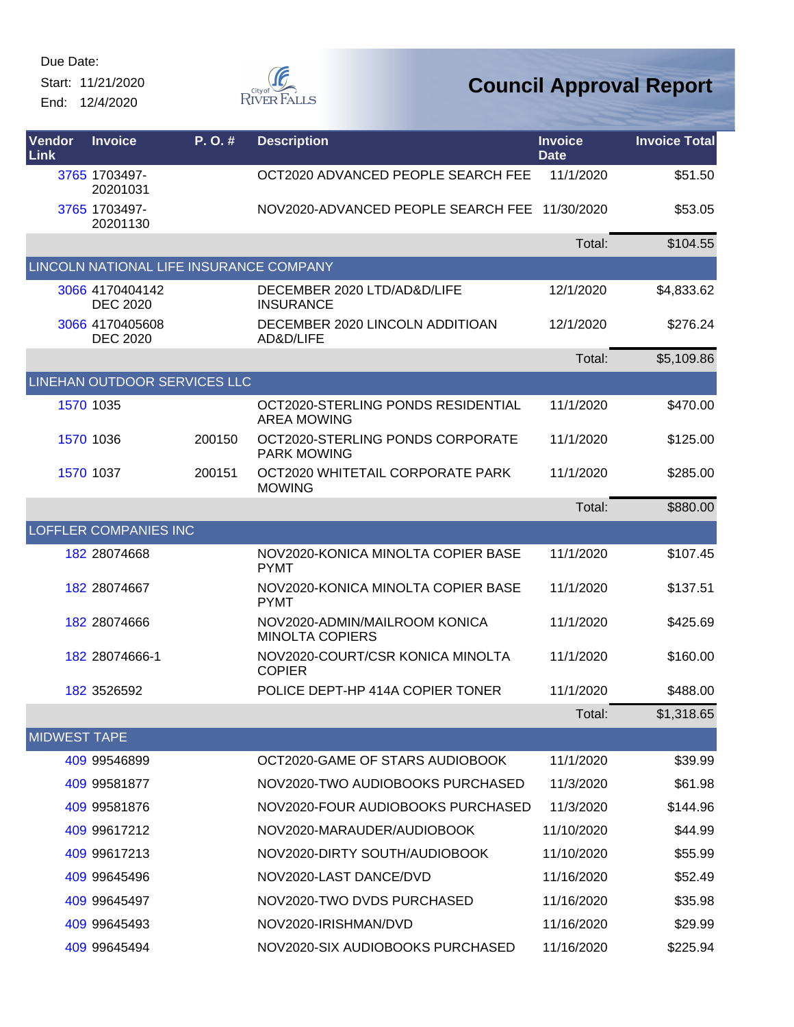Start: 11/21/2020 End: 12/4/2020



| Vendor<br>Link      | <b>Invoice</b>                          | $P. O.$ # | <b>Description</b>                                       | <b>Invoice</b><br><b>Date</b> | <b>Invoice Total</b> |
|---------------------|-----------------------------------------|-----------|----------------------------------------------------------|-------------------------------|----------------------|
|                     | 3765 1703497-<br>20201031               |           | OCT2020 ADVANCED PEOPLE SEARCH FEE                       | 11/1/2020                     | \$51.50              |
|                     | 3765 1703497-<br>20201130               |           | NOV2020-ADVANCED PEOPLE SEARCH FEE                       | 11/30/2020                    | \$53.05              |
|                     |                                         |           |                                                          | Total:                        | \$104.55             |
|                     | LINCOLN NATIONAL LIFE INSURANCE COMPANY |           |                                                          |                               |                      |
|                     | 3066 4170404142<br><b>DEC 2020</b>      |           | DECEMBER 2020 LTD/AD&D/LIFE<br><b>INSURANCE</b>          | 12/1/2020                     | \$4,833.62           |
|                     | 3066 4170405608<br><b>DEC 2020</b>      |           | DECEMBER 2020 LINCOLN ADDITIOAN<br>AD&D/LIFE             | 12/1/2020                     | \$276.24             |
|                     |                                         |           |                                                          | Total:                        | \$5,109.86           |
|                     | LINEHAN OUTDOOR SERVICES LLC            |           |                                                          |                               |                      |
|                     | 1570 1035                               |           | OCT2020-STERLING PONDS RESIDENTIAL<br><b>AREA MOWING</b> | 11/1/2020                     | \$470.00             |
|                     | 1570 1036                               | 200150    | OCT2020-STERLING PONDS CORPORATE<br><b>PARK MOWING</b>   | 11/1/2020                     | \$125.00             |
|                     | 1570 1037                               | 200151    | OCT2020 WHITETAIL CORPORATE PARK<br><b>MOWING</b>        | 11/1/2020                     | \$285.00             |
|                     |                                         |           |                                                          | Total:                        | \$880.00             |
|                     | <b>LOFFLER COMPANIES INC</b>            |           |                                                          |                               |                      |
|                     | 182 28074668                            |           | NOV2020-KONICA MINOLTA COPIER BASE<br><b>PYMT</b>        | 11/1/2020                     | \$107.45             |
|                     | 182 28074667                            |           | NOV2020-KONICA MINOLTA COPIER BASE<br><b>PYMT</b>        | 11/1/2020                     | \$137.51             |
|                     | 182 28074666                            |           | NOV2020-ADMIN/MAILROOM KONICA<br><b>MINOLTA COPIERS</b>  | 11/1/2020                     | \$425.69             |
|                     | 182 28074666-1                          |           | NOV2020-COURT/CSR KONICA MINOLTA<br><b>COPIER</b>        | 11/1/2020                     | \$160.00             |
|                     | 182 3526592                             |           | POLICE DEPT-HP 414A COPIER TONER                         | 11/1/2020                     | \$488.00             |
|                     |                                         |           |                                                          | Total:                        | \$1,318.65           |
| <b>MIDWEST TAPE</b> |                                         |           |                                                          |                               |                      |
|                     | 409 99546899                            |           | OCT2020-GAME OF STARS AUDIOBOOK                          | 11/1/2020                     | \$39.99              |
|                     | 409 99581877                            |           | NOV2020-TWO AUDIOBOOKS PURCHASED                         | 11/3/2020                     | \$61.98              |
|                     | 409 99581876                            |           | NOV2020-FOUR AUDIOBOOKS PURCHASED                        | 11/3/2020                     | \$144.96             |
|                     | 409 99617212                            |           | NOV2020-MARAUDER/AUDIOBOOK                               | 11/10/2020                    | \$44.99              |
|                     | 409 99617213                            |           | NOV2020-DIRTY SOUTH/AUDIOBOOK                            | 11/10/2020                    | \$55.99              |
|                     | 409 99645496                            |           | NOV2020-LAST DANCE/DVD                                   | 11/16/2020                    | \$52.49              |
|                     | 409 99645497                            |           | NOV2020-TWO DVDS PURCHASED                               | 11/16/2020                    | \$35.98              |
|                     | 409 99645493                            |           | NOV2020-IRISHMAN/DVD                                     | 11/16/2020                    | \$29.99              |
|                     | 409 99645494                            |           | NOV2020-SIX AUDIOBOOKS PURCHASED                         | 11/16/2020                    | \$225.94             |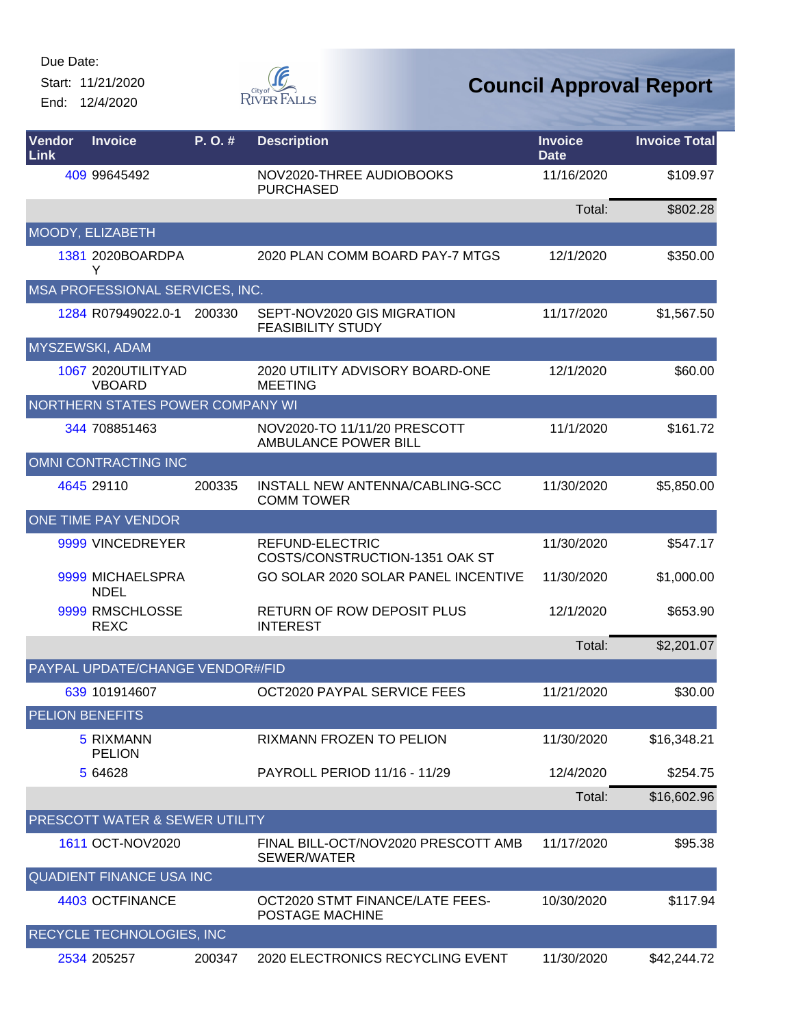Start: 11/21/2020 End: 12/4/2020



| Vendor<br>Link | <b>Invoice</b>                      | P.O.#  | <b>Description</b>                                          | <b>Invoice</b><br><b>Date</b> | <b>Invoice Total</b> |
|----------------|-------------------------------------|--------|-------------------------------------------------------------|-------------------------------|----------------------|
|                | 409 99645492                        |        | NOV2020-THREE AUDIOBOOKS<br><b>PURCHASED</b>                | 11/16/2020                    | \$109.97             |
|                |                                     |        |                                                             | Total:                        | \$802.28             |
|                | MOODY, ELIZABETH                    |        |                                                             |                               |                      |
|                | 1381 2020BOARDPA<br>Y               |        | 2020 PLAN COMM BOARD PAY-7 MTGS                             | 12/1/2020                     | \$350.00             |
|                | MSA PROFESSIONAL SERVICES, INC.     |        |                                                             |                               |                      |
|                | 1284 R07949022.0-1                  | 200330 | SEPT-NOV2020 GIS MIGRATION<br><b>FEASIBILITY STUDY</b>      | 11/17/2020                    | \$1,567.50           |
|                | MYSZEWSKI, ADAM                     |        |                                                             |                               |                      |
|                | 1067 2020UTILITYAD<br><b>VBOARD</b> |        | 2020 UTILITY ADVISORY BOARD-ONE<br><b>MEETING</b>           | 12/1/2020                     | \$60.00              |
|                | NORTHERN STATES POWER COMPANY WI    |        |                                                             |                               |                      |
|                | 344 708851463                       |        | NOV2020-TO 11/11/20 PRESCOTT<br><b>AMBULANCE POWER BILL</b> | 11/1/2020                     | \$161.72             |
|                | <b>OMNI CONTRACTING INC</b>         |        |                                                             |                               |                      |
|                | 4645 29110                          | 200335 | INSTALL NEW ANTENNA/CABLING-SCC<br><b>COMM TOWER</b>        | 11/30/2020                    | \$5,850.00           |
|                | ONE TIME PAY VENDOR                 |        |                                                             |                               |                      |
|                | 9999 VINCEDREYER                    |        | REFUND-ELECTRIC<br>COSTS/CONSTRUCTION-1351 OAK ST           | 11/30/2020                    | \$547.17             |
|                | 9999 MICHAELSPRA<br><b>NDEL</b>     |        | GO SOLAR 2020 SOLAR PANEL INCENTIVE                         | 11/30/2020                    | \$1,000.00           |
|                | 9999 RMSCHLOSSE<br><b>REXC</b>      |        | <b>RETURN OF ROW DEPOSIT PLUS</b><br><b>INTEREST</b>        | 12/1/2020                     | \$653.90             |
|                |                                     |        |                                                             | Total:                        | \$2,201.07           |
|                | PAYPAL UPDATE/CHANGE VENDOR#/FID    |        |                                                             |                               |                      |
|                | 639 101914607                       |        | OCT2020 PAYPAL SERVICE FEES                                 | 11/21/2020                    | \$30.00              |
|                | <b>PELION BENEFITS</b>              |        |                                                             |                               |                      |
|                | 5 RIXMANN<br><b>PELION</b>          |        | RIXMANN FROZEN TO PELION                                    | 11/30/2020                    | \$16,348.21          |
|                | 5 64628                             |        | PAYROLL PERIOD 11/16 - 11/29                                | 12/4/2020                     | \$254.75             |
|                |                                     |        |                                                             | Total:                        | \$16,602.96          |
|                | PRESCOTT WATER & SEWER UTILITY      |        |                                                             |                               |                      |
|                | 1611 OCT-NOV2020                    |        | FINAL BILL-OCT/NOV2020 PRESCOTT AMB<br>SEWER/WATER          | 11/17/2020                    | \$95.38              |
|                | <b>QUADIENT FINANCE USA INC</b>     |        |                                                             |                               |                      |
|                | 4403 OCTFINANCE                     |        | OCT2020 STMT FINANCE/LATE FEES-<br>POSTAGE MACHINE          | 10/30/2020                    | \$117.94             |
|                | RECYCLE TECHNOLOGIES, INC           |        |                                                             |                               |                      |
|                | 2534 205257                         | 200347 | 2020 ELECTRONICS RECYCLING EVENT                            | 11/30/2020                    | \$42,244.72          |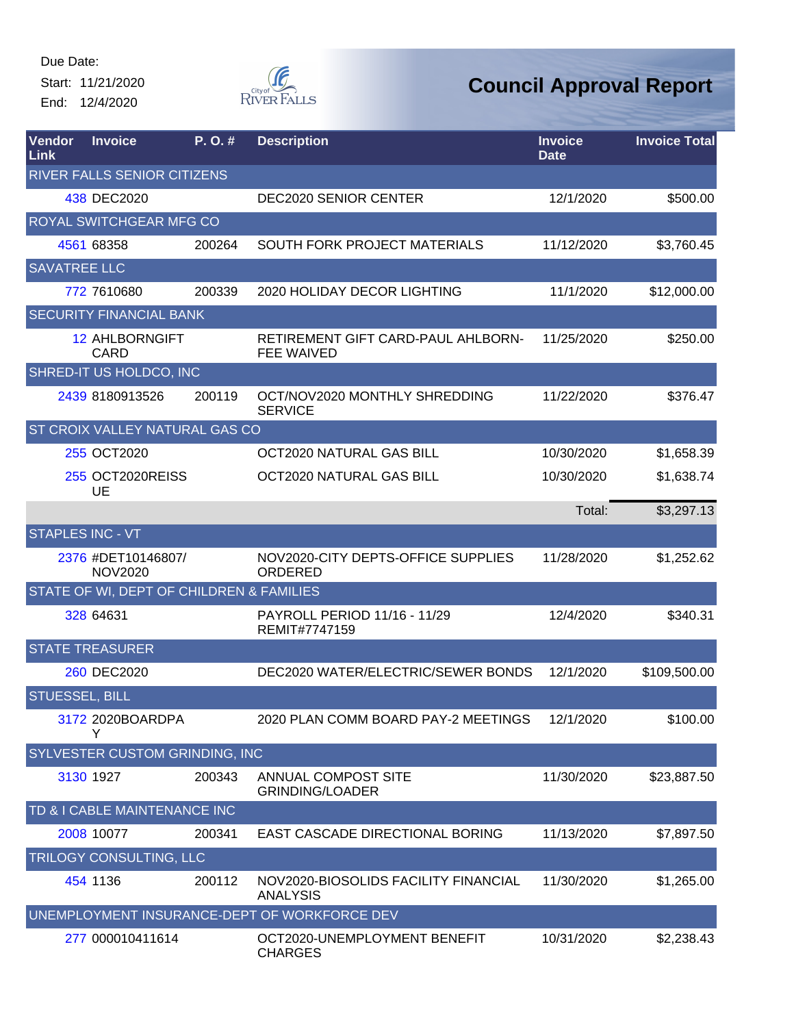Start: 11/21/2020 End: 12/4/2020



| Vendor<br>Link          | <b>Invoice</b>                           | P. O. # | <b>Description</b>                                      | <b>Invoice</b><br><b>Date</b> | <b>Invoice Total</b> |
|-------------------------|------------------------------------------|---------|---------------------------------------------------------|-------------------------------|----------------------|
|                         | <b>RIVER FALLS SENIOR CITIZENS</b>       |         |                                                         |                               |                      |
|                         | 438 DEC2020                              |         | <b>DEC2020 SENIOR CENTER</b>                            | 12/1/2020                     | \$500.00             |
|                         | <b>ROYAL SWITCHGEAR MFG CO</b>           |         |                                                         |                               |                      |
|                         | 4561 68358                               | 200264  | <b>SOUTH FORK PROJECT MATERIALS</b>                     | 11/12/2020                    | \$3,760.45           |
| <b>SAVATREE LLC</b>     |                                          |         |                                                         |                               |                      |
|                         | 772 7610680                              | 200339  | 2020 HOLIDAY DECOR LIGHTING                             | 11/1/2020                     | \$12,000.00          |
|                         | <b>SECURITY FINANCIAL BANK</b>           |         |                                                         |                               |                      |
|                         | <b>12 AHLBORNGIFT</b><br><b>CARD</b>     |         | RETIREMENT GIFT CARD-PAUL AHLBORN-<br><b>FEE WAIVED</b> | 11/25/2020                    | \$250.00             |
|                         | SHRED-IT US HOLDCO, INC                  |         |                                                         |                               |                      |
|                         | 2439 8180913526                          | 200119  | OCT/NOV2020 MONTHLY SHREDDING<br><b>SERVICE</b>         | 11/22/2020                    | \$376.47             |
|                         | <b>ST CROIX VALLEY NATURAL GAS CO</b>    |         |                                                         |                               |                      |
|                         | 255 OCT2020                              |         | OCT2020 NATURAL GAS BILL                                | 10/30/2020                    | \$1,658.39           |
|                         | 255 OCT2020REISS<br>UE                   |         | OCT2020 NATURAL GAS BILL                                | 10/30/2020                    | \$1,638.74           |
|                         |                                          |         |                                                         | Total:                        | \$3,297.13           |
| <b>STAPLES INC - VT</b> |                                          |         |                                                         |                               |                      |
|                         | 2376 #DET10146807/<br><b>NOV2020</b>     |         | NOV2020-CITY DEPTS-OFFICE SUPPLIES<br>ORDERED           | 11/28/2020                    | \$1,252.62           |
|                         | STATE OF WI, DEPT OF CHILDREN & FAMILIES |         |                                                         |                               |                      |
|                         | 328 64631                                |         | PAYROLL PERIOD 11/16 - 11/29<br>REMIT#7747159           | 12/4/2020                     | \$340.31             |
|                         | <b>STATE TREASURER</b>                   |         |                                                         |                               |                      |
|                         | 260 DEC2020                              |         | DEC2020 WATER/ELECTRIC/SEWER BONDS                      | 12/1/2020                     | \$109,500.00         |
| <b>STUESSEL, BILL</b>   |                                          |         |                                                         |                               |                      |
|                         | 3172 2020BOARDPA<br>Y                    |         | 2020 PLAN COMM BOARD PAY-2 MEETINGS                     | 12/1/2020                     | \$100.00             |
|                         | SYLVESTER CUSTOM GRINDING, INC           |         |                                                         |                               |                      |
|                         | 3130 1927                                | 200343  | ANNUAL COMPOST SITE<br><b>GRINDING/LOADER</b>           | 11/30/2020                    | \$23,887.50          |
|                         | TD & I CABLE MAINTENANCE INC             |         |                                                         |                               |                      |
|                         | 2008 10077                               | 200341  | EAST CASCADE DIRECTIONAL BORING                         | 11/13/2020                    | \$7,897.50           |
|                         | TRILOGY CONSULTING, LLC                  |         |                                                         |                               |                      |
|                         | 454 1136                                 | 200112  | NOV2020-BIOSOLIDS FACILITY FINANCIAL<br><b>ANALYSIS</b> | 11/30/2020                    | \$1,265.00           |
|                         |                                          |         | UNEMPLOYMENT INSURANCE-DEPT OF WORKFORCE DEV            |                               |                      |
|                         | 277 000010411614                         |         | OCT2020-UNEMPLOYMENT BENEFIT<br><b>CHARGES</b>          | 10/31/2020                    | \$2,238.43           |